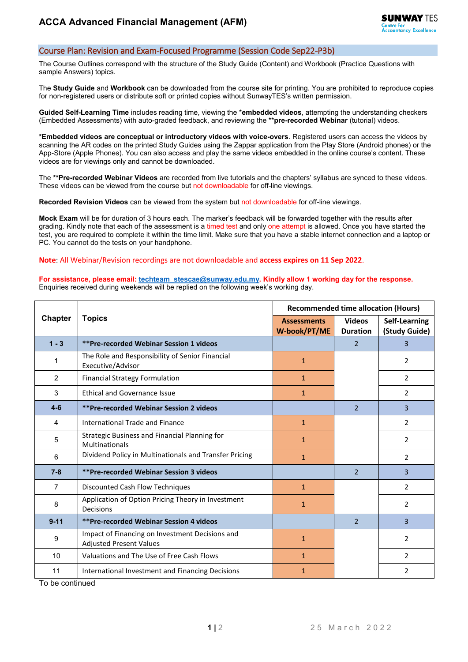## Course Plan: Revision and Exam-Focused Programme (Session Code Sep22-P3b)

The Course Outlines correspond with the structure of the Study Guide (Content) and Workbook (Practice Questions with sample Answers) topics.

The **Study Guide** and **Workbook** can be downloaded from the course site for printing. You are prohibited to reproduce copies for non-registered users or distribute soft or printed copies without SunwayTES's written permission.

**Guided Self-Learning Time** includes reading time, viewing the \***embedded videos**, attempting the understanding checkers (Embedded Assessments) with auto-graded feedback, and reviewing the \*\***pre-recorded Webinar** (tutorial) videos.

**\*Embedded videos are conceptual or introductory videos with voice-overs**. Registered users can access the videos by scanning the AR codes on the printed Study Guides using the Zappar application from the Play Store (Android phones) or the App-Store (Apple Phones). You can also access and play the same videos embedded in the online course's content. These videos are for viewings only and cannot be downloaded.

The **\*\*Pre-recorded Webinar Videos** are recorded from live tutorials and the chapters' syllabus are synced to these videos. These videos can be viewed from the course but not downloadable for off-line viewings.

**Recorded Revision Videos** can be viewed from the system but not downloadable for off-line viewings.

**Mock Exam** will be for duration of 3 hours each. The marker's feedback will be forwarded together with the results after grading. Kindly note that each of the assessment is a timed test and only one attempt is allowed. Once you have started the test, you are required to complete it within the time limit. Make sure that you have a stable internet connection and a laptop or PC. You cannot do the tests on your handphone.

## **Note**: All Webinar/Revision recordings are not downloadable and **access expires on 11 Sep 2022**.

## **For assistance, please email[: techteam\\_stescae@sunway.edu.my.](mailto:techteam_stescae@sunway.edu.my) Kindly allow 1 working day for the response.**  Enquiries received during weekends will be replied on the following week's working day.

| <b>Chapter</b> | <b>Topics</b>                                                                     | <b>Recommended time allocation (Hours)</b> |                                  |                                |  |
|----------------|-----------------------------------------------------------------------------------|--------------------------------------------|----------------------------------|--------------------------------|--|
|                |                                                                                   | <b>Assessments</b><br>W-book/PT/ME         | <b>Videos</b><br><b>Duration</b> | Self-Learning<br>(Study Guide) |  |
| $1 - 3$        | <b>**Pre-recorded Webinar Session 1 videos</b>                                    |                                            | $\mathcal{P}$                    | 3                              |  |
| 1              | The Role and Responsibility of Senior Financial<br>Executive/Advisor              | $\mathbf{1}$                               |                                  | 2                              |  |
| $\overline{2}$ | <b>Financial Strategy Formulation</b>                                             | $\mathbf{1}$                               |                                  | $\overline{2}$                 |  |
| 3              | <b>Ethical and Governance Issue</b>                                               | $\mathbf{1}$                               |                                  | $\overline{2}$                 |  |
| $4-6$          | ** Pre-recorded Webinar Session 2 videos                                          |                                            | $\overline{2}$                   | 3                              |  |
| 4              | International Trade and Finance                                                   | $\mathbf{1}$                               |                                  | $\overline{2}$                 |  |
| 5              | Strategic Business and Financial Planning for<br>Multinationals                   | 1                                          |                                  | $\overline{2}$                 |  |
| 6              | Dividend Policy in Multinationals and Transfer Pricing                            | $\mathbf{1}$                               |                                  | $\overline{2}$                 |  |
| $7 - 8$        | <b>**Pre-recorded Webinar Session 3 videos</b>                                    |                                            | $\overline{2}$                   | 3                              |  |
| $\overline{7}$ | Discounted Cash Flow Techniques                                                   | $\mathbf{1}$                               |                                  | $\overline{2}$                 |  |
| 8              | Application of Option Pricing Theory in Investment<br>Decisions                   | $\mathbf{1}$                               |                                  | $\overline{2}$                 |  |
| $9 - 11$       | <b>**Pre-recorded Webinar Session 4 videos</b>                                    |                                            | $\overline{\phantom{a}}$         | 3                              |  |
| 9              | Impact of Financing on Investment Decisions and<br><b>Adjusted Present Values</b> | $\mathbf{1}$                               |                                  | $\overline{2}$                 |  |
| 10             | Valuations and The Use of Free Cash Flows                                         | $\mathbf{1}$                               |                                  | $\overline{2}$                 |  |
| 11             | International Investment and Financing Decisions                                  | 1                                          |                                  | 2                              |  |

To be continued